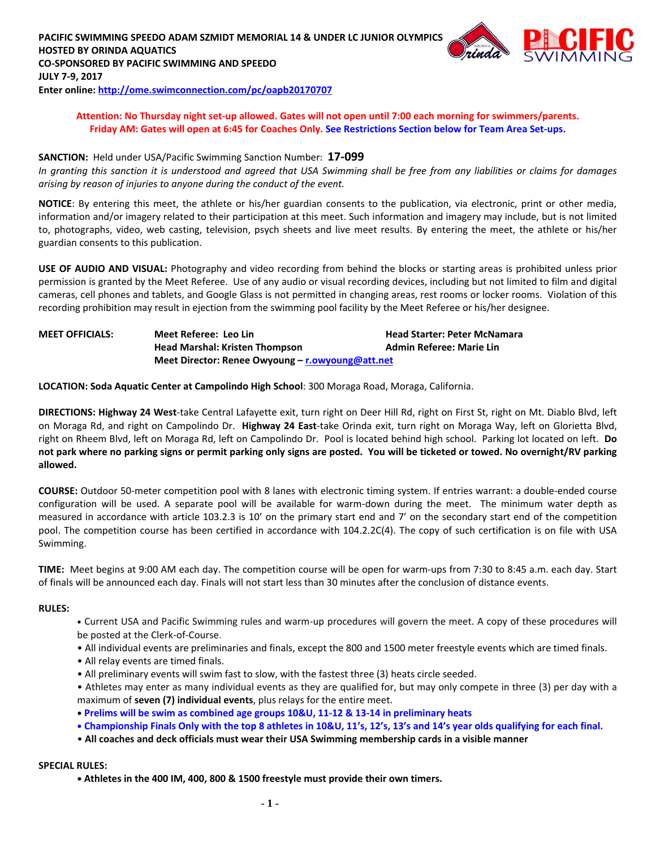

#### **Attention: No Thursday night set-up allowed. Gates will not open until 7:00 each morning for swimmers/parents. Friday AM: Gates will open at 6:45 for Coaches Only. See Restrictions Section below for Team Area Set-ups.**

#### **SANCTION:** Held under USA/Pacific Swimming Sanction Number: **17-099**

*In granting this sanction it is understood and agreed that USA Swimming shall be free from any liabilities or claims for damages arising by reason of injuries to anyone during the conduct of the event.*

**NOTICE**: By entering this meet, the athlete or his/her guardian consents to the publication, via electronic, print or other media, information and/or imagery related to their participation at this meet. Such information and imagery may include, but is not limited to, photographs, video, web casting, television, psych sheets and live meet results. By entering the meet, the athlete or his/her guardian consents to this publication.

**USE OF AUDIO AND VISUAL:** Photography and video recording from behind the blocks or starting areas is prohibited unless prior permission is granted by the Meet Referee. Use of any audio or visual recording devices, including but not limited to film and digital cameras, cell phones and tablets, and Google Glass is not permitted in changing areas, rest rooms or locker rooms. Violation of this recording prohibition may result in ejection from the swimming pool facility by the Meet Referee or his/her designee.

| <b>MEET OFFICIALS:</b> | Meet Referee: Leo Lin                            | <b>Head Starter: Peter McNamara</b> |
|------------------------|--------------------------------------------------|-------------------------------------|
|                        | <b>Head Marshal: Kristen Thompson</b>            | <b>Admin Referee: Marie Lin</b>     |
|                        | Meet Director: Renee Owyoung – r.owyoung@att.net |                                     |

**LOCATION: Soda Aquatic Center at Campolindo High School**: 300 Moraga Road, Moraga, California.

**DIRECTIONS: Highway 24 West**-take Central Lafayette exit, turn right on Deer Hill Rd, right on First St, right on Mt. Diablo Blvd, left on Moraga Rd, and right on Campolindo Dr. **Highway 24 East**-take Orinda exit, turn right on Moraga Way, left on Glorietta Blvd, right on Rheem Blvd, left on Moraga Rd, left on Campolindo Dr. Pool is located behind high school. Parking lot located on left. **Do not park where no parking signs or permit parking only signs are posted. You will be ticketed or towed. No overnight/RV parking allowed.**

**COURSE:** Outdoor 50-meter competition pool with 8 lanes with electronic timing system. If entries warrant: a double-ended course configuration will be used. A separate pool will be available for warm-down during the meet. The minimum water depth as measured in accordance with article 103.2.3 is 10' on the primary start end and 7' on the secondary start end of the competition pool. The competition course has been certified in accordance with 104.2.2C(4). The copy of such certification is on file with USA Swimming.

**TIME:** Meet begins at 9:00 AM each day. The competition course will be open for warm-ups from 7:30 to 8:45 a.m. each day. Start of finals will be announced each day. Finals will not start less than 30 minutes after the conclusion of distance events.

#### **RULES:**

- **•** Current USA and Pacific Swimming rules and warm-up procedures will govern the meet. A copy of these procedures will be posted at the Clerk-of-Course.
- All individual events are preliminaries and finals, except the 800 and 1500 meter freestyle events which are timed finals.
- All relay events are timed finals.
- All preliminary events will swim fast to slow, with the fastest three (3) heats circle seeded.
- Athletes may enter as many individual events as they are qualified for, but may only compete in three (3) per day with a maximum of **seven (7) individual events**, plus relays for the entire meet.
- **• Prelims will be swim as combined age groups 10&U, 11-12 & 13-14 in preliminary heats**
- **• Championship Finals Only with the top 8 athletes in 10&U, 11's, 12's, 13's and 14's year olds qualifying for each final.**
- **All coaches and deck officials must wear their USA Swimming membership cards in a visible manner**

#### **SPECIAL RULES:**

**• Athletes in the 400 IM, 400, 800 & 1500 freestyle must provide their own timers.**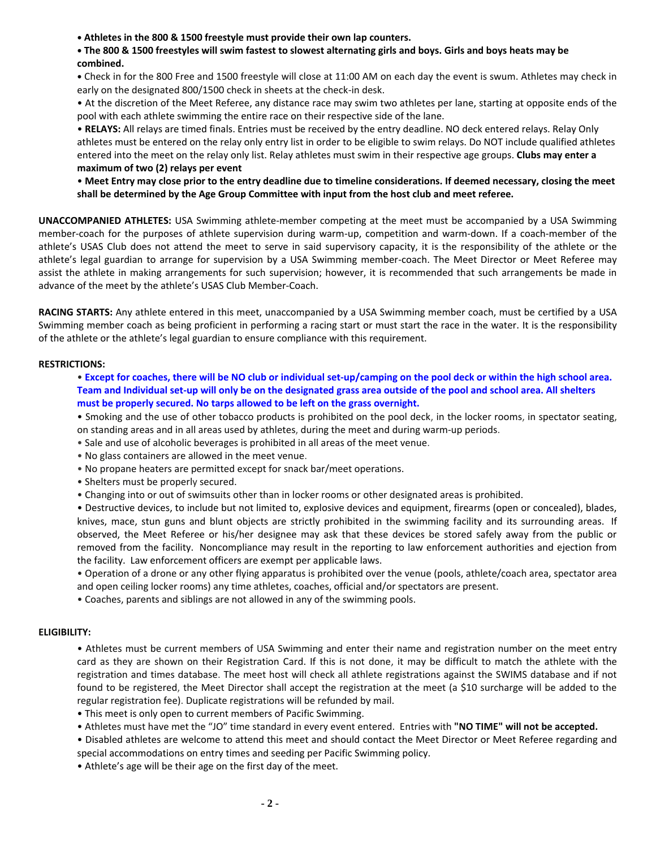**• Athletes in the 800 & 1500 freestyle must provide their own lap counters.**

**• The 800 & 1500 freestyles will swim fastest to slowest alternating girls and boys. Girls and boys heats may be combined.**

**•** Check in for the 800 Free and 1500 freestyle will close at 11:00 AM on each day the event is swum. Athletes may check in early on the designated 800/1500 check in sheets at the check-in desk.

• At the discretion of the Meet Referee, any distance race may swim two athletes per lane, starting at opposite ends of the pool with each athlete swimming the entire race on their respective side of the lane.

• **RELAYS:** All relays are timed finals. Entries must be received by the entry deadline. NO deck entered relays. Relay Only athletes must be entered on the relay only entry list in order to be eligible to swim relays. Do NOT include qualified athletes entered into the meet on the relay only list. Relay athletes must swim in their respective age groups. **Clubs may enter a maximum of two (2) relays per event**

• **Meet Entry may close prior to the entry deadline due to timeline considerations. If deemed necessary, closing the meet shall be determined by the Age Group Committee with input from the host club and meet referee.**

**UNACCOMPANIED ATHLETES:** USA Swimming athlete-member competing at the meet must be accompanied by a USA Swimming member-coach for the purposes of athlete supervision during warm-up, competition and warm-down. If a coach-member of the athlete's USAS Club does not attend the meet to serve in said supervisory capacity, it is the responsibility of the athlete or the athlete's legal guardian to arrange for supervision by a USA Swimming member-coach. The Meet Director or Meet Referee may assist the athlete in making arrangements for such supervision; however, it is recommended that such arrangements be made in advance of the meet by the athlete's USAS Club Member-Coach.

**RACING STARTS:** Any athlete entered in this meet, unaccompanied by a USA Swimming member coach, must be certified by a USA Swimming member coach as being proficient in performing a racing start or must start the race in the water. It is the responsibility of the athlete or the athlete's legal guardian to ensure compliance with this requirement.

#### **RESTRICTIONS:**

• **Except for coaches, there will be NO club or individual set-up/camping on the pool deck or within the high school area. Team and Individual set-up will only be on the designated grass area outside of the pool and school area. All shelters must be properly secured. No tarps allowed to be left on the grass overnight.**

• Smoking and the use of other tobacco products is prohibited on the pool deck, in the locker rooms, in spectator seating, on standing areas and in all areas used by athletes, during the meet and during warm-up periods.

- Sale and use of alcoholic beverages is prohibited in all areas of the meet venue.
- No glass containers are allowed in the meet venue.
- No propane heaters are permitted except for snack bar/meet operations.
- Shelters must be properly secured.
- Changing into or out of swimsuits other than in locker rooms or other designated areas is prohibited.

• Destructive devices, to include but not limited to, explosive devices and equipment, firearms (open or concealed), blades, knives, mace, stun guns and blunt objects are strictly prohibited in the swimming facility and its surrounding areas. If observed, the Meet Referee or his/her designee may ask that these devices be stored safely away from the public or removed from the facility. Noncompliance may result in the reporting to law enforcement authorities and ejection from the facility. Law enforcement officers are exempt per applicable laws.

• Operation of a drone or any other flying apparatus is prohibited over the venue (pools, athlete/coach area, spectator area and open ceiling locker rooms) any time athletes, coaches, official and/or spectators are present.

• Coaches, parents and siblings are not allowed in any of the swimming pools.

#### **ELIGIBILITY:**

• Athletes must be current members of USA Swimming and enter their name and registration number on the meet entry card as they are shown on their Registration Card. If this is not done, it may be difficult to match the athlete with the registration and times database. The meet host will check all athlete registrations against the SWIMS database and if not found to be registered, the Meet Director shall accept the registration at the meet (a \$10 surcharge will be added to the regular registration fee). Duplicate registrations will be refunded by mail.

• This meet is only open to current members of Pacific Swimming.

• Athletes must have met the "JO" time standard in every event entered. Entries with **"NO TIME" will not be accepted.**

• Disabled athletes are welcome to attend this meet and should contact the Meet Director or Meet Referee regarding and special accommodations on entry times and seeding per Pacific Swimming policy.

• Athlete's age will be their age on the first day of the meet.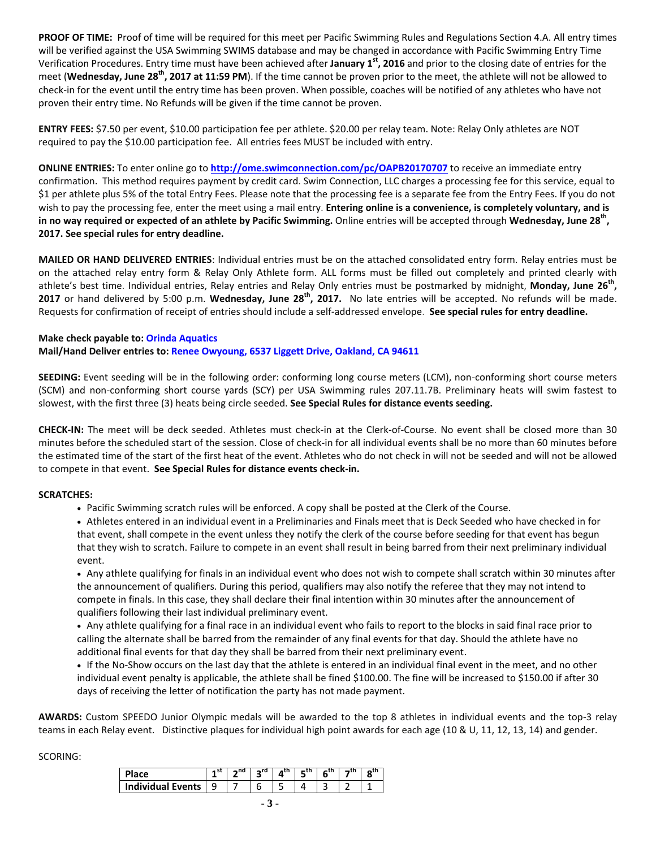**PROOF OF TIME:** Proof of time will be required for this meet per Pacific Swimming Rules and Regulations Section 4.A. All entry times will be verified against the USA Swimming SWIMS database and may be changed in accordance with Pacific Swimming Entry Time Verification Procedures. Entry time must have been achieved after **January 1st, 2016** and prior to the closing date of entries for the meet (**Wednesday, June 28 th, 2017 at 11:59 PM**). If the time cannot be proven prior to the meet, the athlete will not be allowed to check-in for the event until the entry time has been proven. When possible, coaches will be notified of any athletes who have not proven their entry time. No Refunds will be given if the time cannot be proven.

**ENTRY FEES:** \$7.50 per event, \$10.00 participation fee per athlete. \$20.00 per relay team. Note: Relay Only athletes are NOT required to pay the \$10.00 participation fee. All entries fees MUST be included with entry.

**ONLINE ENTRIES:** To enter online go to **<http://ome.swimconnection.com/pc/OAPB20170707>** to receive an immediate entry confirmation. This method requires payment by credit card. Swim Connection, LLC charges a processing fee for this service, equal to \$1 per athlete plus 5% of the total Entry Fees. Please note that the processing fee is a separate fee from the Entry Fees. If you do not wish to pay the processing fee, enter the meet using a mail entry. **Entering online is a convenience, is completely voluntary, and is in no way required or expected of an athlete by Pacific Swimming.** Online entries will be accepted through **Wednesday, June 28 th , 2017. See special rules for entry deadline.**

**MAILED OR HAND DELIVERED ENTRIES**: Individual entries must be on the attached consolidated entry form. Relay entries must be on the attached relay entry form & Relay Only Athlete form. ALL forms must be filled out completely and printed clearly with athlete's best time. Individual entries, Relay entries and Relay Only entries must be postmarked by midnight, **Monday, June 26 th , 2017** or hand delivered by 5:00 p.m. **Wednesday, June 28th, 2017.** No late entries will be accepted. No refunds will be made. Requests for confirmation of receipt of entries should include a self-addressed envelope. **See special rules for entry deadline.**

## **Make check payable to: Orinda Aquatics Mail/Hand Deliver entries to: Renee Owyoung, 6537 Liggett Drive, Oakland, CA 94611**

**SEEDING:** Event seeding will be in the following order: conforming long course meters (LCM), non-conforming short course meters (SCM) and non-conforming short course yards (SCY) per USA Swimming rules 207.11.7B. Preliminary heats will swim fastest to slowest, with the first three (3) heats being circle seeded. **See Special Rules for distance events seeding.**

**CHECK-IN:** The meet will be deck seeded. Athletes must check-in at the Clerk-of-Course. No event shall be closed more than 30 minutes before the scheduled start of the session. Close of check-in for all individual events shall be no more than 60 minutes before the estimated time of the start of the first heat of the event. Athletes who do not check in will not be seeded and will not be allowed to compete in that event. **See Special Rules for distance events check-in.**

#### **SCRATCHES:**

- Pacific Swimming scratch rules will be enforced. A copy shall be posted at the Clerk of the Course.
- Athletes entered in an individual event in a Preliminaries and Finals meet that is Deck Seeded who have checked in for that event, shall compete in the event unless they notify the clerk of the course before seeding for that event has begun that they wish to scratch. Failure to compete in an event shall result in being barred from their next preliminary individual event.

 Any athlete qualifying for finals in an individual event who does not wish to compete shall scratch within 30 minutes after the announcement of qualifiers. During this period, qualifiers may also notify the referee that they may not intend to compete in finals. In this case, they shall declare their final intention within 30 minutes after the announcement of qualifiers following their last individual preliminary event.

 Any athlete qualifying for a final race in an individual event who fails to report to the blocks in said final race prior to calling the alternate shall be barred from the remainder of any final events for that day. Should the athlete have no additional final events for that day they shall be barred from their next preliminary event.

 If the No-Show occurs on the last day that the athlete is entered in an individual final event in the meet, and no other individual event penalty is applicable, the athlete shall be fined \$100.00. The fine will be increased to \$150.00 if after 30 days of receiving the letter of notification the party has not made payment.

**AWARDS:** Custom SPEEDO Junior Olympic medals will be awarded to the top 8 athletes in individual events and the top-3 relay teams in each Relay event. Distinctive plaques for individual high point awards for each age (10 & U, 11, 12, 13, 14) and gender.

#### SCORING:

| <b>Place</b>          | ∍nd l | $2^{rd}$   $\Lambda^{th}$ | 5 <sup>th</sup> | 6 <sup>th</sup> | o <sup>tn</sup> |
|-----------------------|-------|---------------------------|-----------------|-----------------|-----------------|
| Individual Events   9 |       |                           |                 |                 |                 |
|                       |       |                           |                 |                 |                 |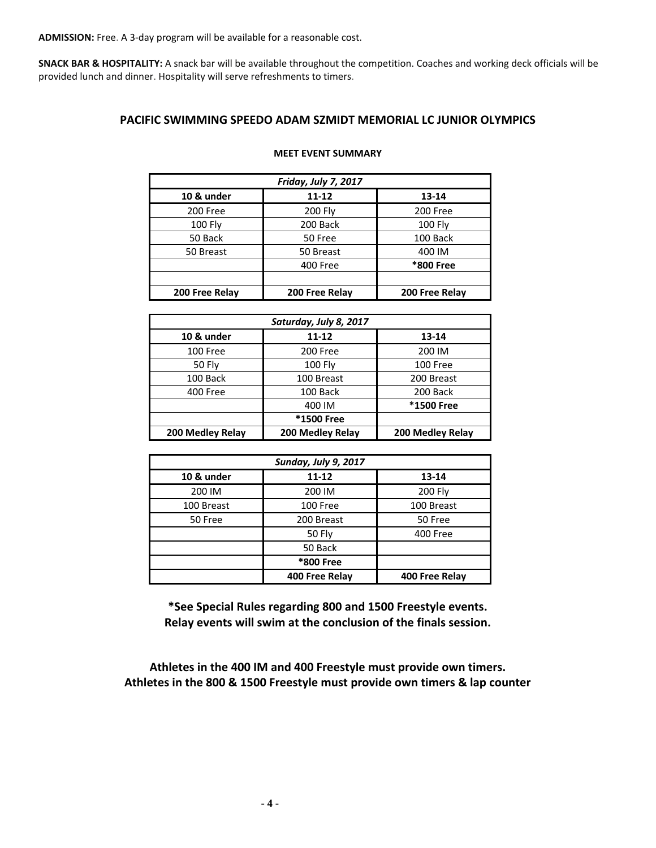**ADMISSION:** Free. A 3-day program will be available for a reasonable cost.

**SNACK BAR & HOSPITALITY:** A snack bar will be available throughout the competition. Coaches and working deck officials will be provided lunch and dinner. Hospitality will serve refreshments to timers.

## **PACIFIC SWIMMING SPEEDO ADAM SZMIDT MEMORIAL LC JUNIOR OLYMPICS**

| Friday, July 7, 2017             |                |                |  |  |  |  |  |
|----------------------------------|----------------|----------------|--|--|--|--|--|
| 10 & under<br>$11 - 12$<br>13-14 |                |                |  |  |  |  |  |
| 200 Free                         | <b>200 Fly</b> | 200 Free       |  |  |  |  |  |
| <b>100 Fly</b>                   | 200 Back       | <b>100 Fly</b> |  |  |  |  |  |
| 50 Back                          | 50 Free        | 100 Back       |  |  |  |  |  |
| 50 Breast                        | 50 Breast      | 400 IM         |  |  |  |  |  |
|                                  | 400 Free       | *800 Free      |  |  |  |  |  |
|                                  |                |                |  |  |  |  |  |
| 200 Free Relay                   | 200 Free Relay | 200 Free Relay |  |  |  |  |  |

#### **MEET EVENT SUMMARY**

| Saturday, July 8, 2017               |                   |                  |  |  |  |  |
|--------------------------------------|-------------------|------------------|--|--|--|--|
| 10 & under<br>$11 - 12$<br>$13 - 14$ |                   |                  |  |  |  |  |
| 100 Free                             | 200 Free          | 200 IM           |  |  |  |  |
| <b>50 Fly</b>                        | $100$ Fly         | 100 Free         |  |  |  |  |
| 100 Back                             | 100 Breast        | 200 Breast       |  |  |  |  |
| <b>400 Free</b>                      | 100 Back          |                  |  |  |  |  |
|                                      | <b>*1500 Free</b> |                  |  |  |  |  |
|                                      | <b>*1500 Free</b> |                  |  |  |  |  |
| 200 Medley Relay                     | 200 Medley Relay  | 200 Medley Relay |  |  |  |  |

| Sunday, July 9, 2017 |                |                |  |  |  |  |
|----------------------|----------------|----------------|--|--|--|--|
| 10 & under           | 13-14          |                |  |  |  |  |
| 200 IM               | 200 IM         | <b>200 Fly</b> |  |  |  |  |
| 100 Breast           | 100 Free       | 100 Breast     |  |  |  |  |
| 50 Free              | 200 Breast     |                |  |  |  |  |
| 50 Fly               |                | 400 Free       |  |  |  |  |
| 50 Back              |                |                |  |  |  |  |
| *800 Free            |                |                |  |  |  |  |
|                      | 400 Free Relay | 400 Free Relay |  |  |  |  |

**\*See Special Rules regarding 800 and 1500 Freestyle events. Relay events will swim at the conclusion of the finals session.**

**Athletes in the 400 IM and 400 Freestyle must provide own timers. Athletes in the 800 & 1500 Freestyle must provide own timers & lap counter**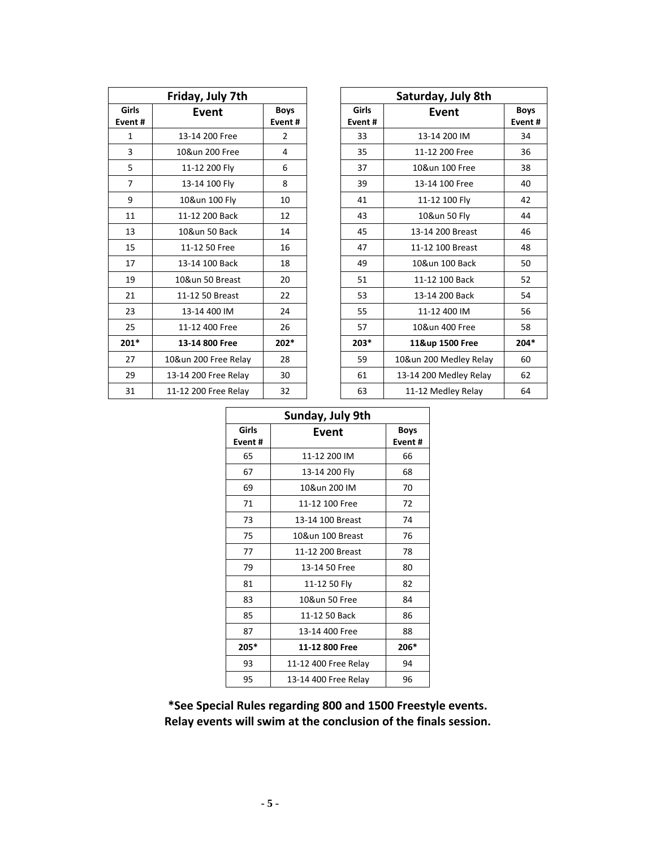| Friday, July 7th |                      |                |  |  |  |  |
|------------------|----------------------|----------------|--|--|--|--|
| Girls<br>Event # | Event                | Boys<br>Event# |  |  |  |  |
| 1                | 13-14 200 Free       | 2              |  |  |  |  |
| 3                | 10&un 200 Free       | 4              |  |  |  |  |
| 5                | 11-12 200 Fly        | 6              |  |  |  |  |
| 7                | 13-14 100 Fly        | 8              |  |  |  |  |
| 9                | 10&un 100 Fly        | 10             |  |  |  |  |
| 11               | 11-12 200 Back       | 12             |  |  |  |  |
| 13               | 10&un 50 Back        | 14             |  |  |  |  |
| 15               | 11-12 50 Free        | 16             |  |  |  |  |
| 17               | 13-14 100 Back       | 18             |  |  |  |  |
| 19               | 10&un 50 Breast      | 20             |  |  |  |  |
| 21               | 11-12 50 Breast      | 22             |  |  |  |  |
| 23               | 13-14 400 IM         | 24             |  |  |  |  |
| 25               | 11-12 400 Free       | 26             |  |  |  |  |
| $201*$           | 13-14 800 Free       | $202*$         |  |  |  |  |
| 27               | 10&un 200 Free Relay | 28             |  |  |  |  |
| 29               | 13-14 200 Free Relay | 30             |  |  |  |  |
| 31               | 11-12 200 Free Relay | 32             |  |  |  |  |

| Friday, July 7th       |                      |                        |                        | Saturday, July 8th     |                        |
|------------------------|----------------------|------------------------|------------------------|------------------------|------------------------|
| <b>Girls</b><br>vent # | Event                | <b>Boys</b><br>Event # | <b>Girls</b><br>Event# | Event                  | <b>Boys</b><br>Event # |
| 1                      | 13-14 200 Free       | $\overline{2}$         | 33                     | 13-14 200 IM           | 34                     |
| 3                      | 10&un 200 Free       | 4                      | 35                     | 11-12 200 Free         | 36                     |
| 5                      | 11-12 200 Fly        | 6                      | 37                     | 10&un 100 Free         | 38                     |
| $\overline{7}$         | 13-14 100 Fly        | 8                      | 39                     | 13-14 100 Free         | 40                     |
| 9                      | 10&un 100 Fly        | 10                     | 41                     | 11-12 100 Fly          | 42                     |
| 11                     | 11-12 200 Back       | 12                     | 43                     | 10&un 50 Fly           | 44                     |
| 13                     | 10&un 50 Back        | 14                     | 45                     | 13-14 200 Breast       | 46                     |
| 15                     | 11-12 50 Free        | 16                     | 47                     | 11-12 100 Breast       | 48                     |
| 17                     | 13-14 100 Back       | 18                     | 49                     | 10&un 100 Back         | 50                     |
| 19                     | 10&un 50 Breast      | 20                     | 51                     | 11-12 100 Back         | 52                     |
| 21                     | 11-12 50 Breast      | 22                     | 53                     | 13-14 200 Back         | 54                     |
| 23                     | 13-14 400 IM         | 24                     | 55                     | 11-12 400 IM           | 56                     |
| 25                     | 11-12 400 Free       | 26                     | 57                     | 10&un 400 Free         | 58                     |
| $201*$                 | 13-14 800 Free       | $202*$                 | $203*$                 | 11&up 1500 Free        | $204*$                 |
| 27                     | 10&un 200 Free Relay | 28                     | 59                     | 10&un 200 Medley Relay | 60                     |
| 29                     | 13-14 200 Free Relay | 30                     | 61                     | 13-14 200 Medley Relay | 62                     |
| 31                     | 11-12 200 Free Relay | 32                     | 63                     | 11-12 Medley Relay     | 64                     |

| Sunday, July 9th |                      |      |  |  |  |  |
|------------------|----------------------|------|--|--|--|--|
| Girls<br>Event#  | Event                |      |  |  |  |  |
| 65               | 11-12 200 IM         | 66   |  |  |  |  |
| 67               | 13-14 200 Fly        | 68   |  |  |  |  |
| 69               | 10&un 200 IM         | 70   |  |  |  |  |
| 71               | 11-12 100 Free       | 72   |  |  |  |  |
| 73               | 13-14 100 Breast     | 74   |  |  |  |  |
| 75               | 10&un 100 Breast     | 76   |  |  |  |  |
| 77               | 11-12 200 Breast     | 78   |  |  |  |  |
| 79               | 13-14 50 Free        | 80   |  |  |  |  |
| 81               | 11-12 50 Fly         | 82   |  |  |  |  |
| 83               | 10&un 50 Free        | 84   |  |  |  |  |
| 85               | 11-12 50 Back        | 86   |  |  |  |  |
| 87               | 13-14 400 Free       | 88   |  |  |  |  |
| $205*$           | 11-12 800 Free       | 206* |  |  |  |  |
| 93               | 11-12 400 Free Relay | 94   |  |  |  |  |
| 95               | 13-14 400 Free Relay | 96   |  |  |  |  |

**\*See Special Rules regarding 800 and 1500 Freestyle events. Relay events will swim at the conclusion of the finals session.**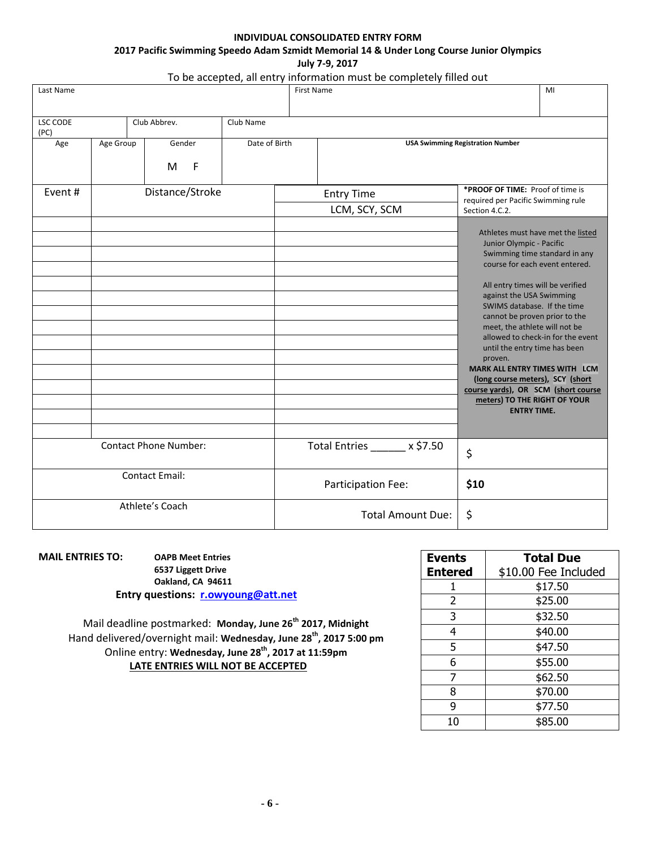# **INDIVIDUAL CONSOLIDATED ENTRY FORM 2017 Pacific Swimming Speedo Adam Szmidt Memorial 14 & Under Long Course Junior Olympics**

**July 7-9, 2017**

# To be accepted, all entry information must be completely filled out

| Last Name               |           |                                |               | <b>First Name</b>                  | MI                                                                                                                                                                                                                                                                                                                                                                                                                                                                                                                                                          |
|-------------------------|-----------|--------------------------------|---------------|------------------------------------|-------------------------------------------------------------------------------------------------------------------------------------------------------------------------------------------------------------------------------------------------------------------------------------------------------------------------------------------------------------------------------------------------------------------------------------------------------------------------------------------------------------------------------------------------------------|
| <b>LSC CODE</b><br>(PC) |           | Club Abbrev.                   | Club Name     |                                    |                                                                                                                                                                                                                                                                                                                                                                                                                                                                                                                                                             |
| Age                     | Age Group | Gender<br>M<br>F               | Date of Birth |                                    | <b>USA Swimming Registration Number</b>                                                                                                                                                                                                                                                                                                                                                                                                                                                                                                                     |
| Event#                  |           | Distance/Stroke                |               | <b>Entry Time</b><br>LCM, SCY, SCM | *PROOF OF TIME: Proof of time is<br>required per Pacific Swimming rule<br>Section 4.C.2.                                                                                                                                                                                                                                                                                                                                                                                                                                                                    |
|                         |           |                                |               |                                    | Athletes must have met the listed<br>Junior Olympic - Pacific<br>Swimming time standard in any<br>course for each event entered.<br>All entry times will be verified<br>against the USA Swimming<br>SWIMS database. If the time<br>cannot be proven prior to the<br>meet, the athlete will not be<br>allowed to check-in for the event<br>until the entry time has been<br>proven.<br><b>MARK ALL ENTRY TIMES WITH LCM</b><br>(long course meters), SCY (short<br>course yards), OR SCM (short course<br>meters) TO THE RIGHT OF YOUR<br><b>ENTRY TIME.</b> |
|                         |           | <b>Contact Phone Number:</b>   |               | Total Entries x \$7.50             | \$                                                                                                                                                                                                                                                                                                                                                                                                                                                                                                                                                          |
| <b>Contact Email:</b>   |           | Participation Fee:             | \$10          |                                    |                                                                                                                                                                                                                                                                                                                                                                                                                                                                                                                                                             |
| Athlete's Coach         |           | \$<br><b>Total Amount Due:</b> |               |                                    |                                                                                                                                                                                                                                                                                                                                                                                                                                                                                                                                                             |

**MAIL ENTRIES TO: OAPB Meet Entries 6537 Liggett Drive Oakland, CA 94611 Entry questions: [r.owyoung@att.net](mailto:r.owyoung@att.net)**

> Mail deadline postmarked: **Monday, June 26th 2017, Midnight**  Hand delivered/overnight mail: **Wednesday, June 28 th, 2017 5:00 pm** Online entry: **Wednesday, June 28 th, 2017 at 11:59pm LATE ENTRIES WILL NOT BE ACCEPTED**

| <b>Events</b>  | <b>Total Due</b>     |
|----------------|----------------------|
| <b>Entered</b> | \$10.00 Fee Included |
| 1              | \$17.50              |
| 2              | \$25.00              |
| 3              | \$32.50              |
| 4              | \$40.00              |
| 5              | \$47.50              |
| 6              | \$55.00              |
| 7              | \$62.50              |
| 8              | \$70.00              |
| ٩              | \$77.50              |
| 10             | \$85.00              |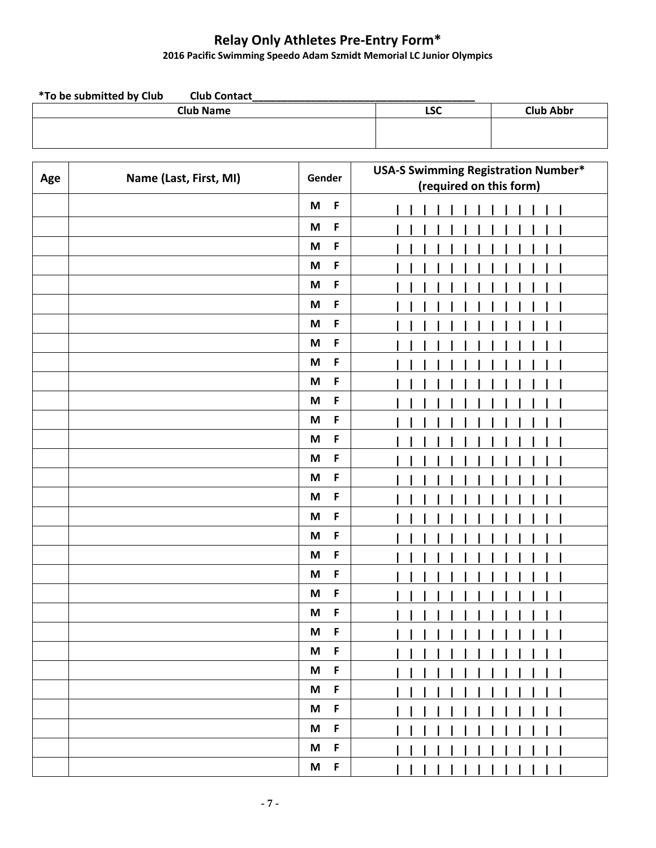# **Relay Only Athletes Pre-Entry Form\***

#### **2016 Pacific Swimming Speedo Adam Szmidt Memorial LC Junior Olympics**

| <i>*</i> To be submitted by Club<br><b>Club Contact</b> |     |                  |
|---------------------------------------------------------|-----|------------------|
| <b>Club Name</b>                                        | LSC | <b>Club Abbr</b> |
|                                                         |     |                  |
|                                                         |     |                  |

| Age | Name (Last, First, MI) | Gender                                   |  | <b>USA-S Swimming Registration Number*</b> |
|-----|------------------------|------------------------------------------|--|--------------------------------------------|
|     |                        |                                          |  | (required on this form)                    |
|     |                        | $\mathsf F$<br>$\boldsymbol{\mathsf{M}}$ |  |                                            |
|     |                        | $\mathsf F$<br>$\boldsymbol{\mathsf{M}}$ |  |                                            |
|     |                        | $\mathsf F$<br>$\boldsymbol{\mathsf{M}}$ |  |                                            |
|     |                        | $\mathsf F$<br>M                         |  |                                            |
|     |                        | $\mathsf F$<br>$\boldsymbol{\mathsf{M}}$ |  |                                            |
|     |                        | $\mathsf F$<br>M                         |  |                                            |
|     |                        | $\mathsf F$<br>$\boldsymbol{\mathsf{M}}$ |  |                                            |
|     |                        | $\mathsf F$<br>$\boldsymbol{\mathsf{M}}$ |  |                                            |
|     |                        | $\mathsf F$<br>$\boldsymbol{\mathsf{M}}$ |  |                                            |
|     |                        | $\mathsf F$<br>$\boldsymbol{\mathsf{M}}$ |  |                                            |
|     |                        | $\mathsf F$<br>$\boldsymbol{\mathsf{M}}$ |  |                                            |
|     |                        | $\mathsf F$<br>$\boldsymbol{\mathsf{M}}$ |  |                                            |
|     |                        | $\mathsf F$<br>M                         |  |                                            |
|     |                        | $\mathsf F$<br>$\boldsymbol{\mathsf{M}}$ |  |                                            |
|     |                        | $\mathsf F$<br>M                         |  |                                            |
|     |                        | $\mathsf F$<br>$\boldsymbol{\mathsf{M}}$ |  |                                            |
|     |                        | $\mathsf F$<br>$\boldsymbol{\mathsf{M}}$ |  |                                            |
|     |                        | $\mathsf F$<br>$\boldsymbol{\mathsf{M}}$ |  |                                            |
|     |                        | $\mathsf F$<br>$\boldsymbol{\mathsf{M}}$ |  |                                            |
|     |                        | $\mathsf F$<br>$\boldsymbol{\mathsf{M}}$ |  |                                            |
|     |                        | $\mathsf F$<br>$\boldsymbol{\mathsf{M}}$ |  |                                            |
|     |                        | $\mathsf F$<br>$\boldsymbol{\mathsf{M}}$ |  |                                            |
|     |                        | $\mathsf F$<br>M                         |  |                                            |
|     |                        | M<br>F                                   |  |                                            |
|     |                        | F<br>M                                   |  |                                            |
|     |                        | F<br>M                                   |  |                                            |
|     |                        | F<br>M                                   |  |                                            |
|     |                        | F<br>M                                   |  |                                            |
|     |                        | F<br>M                                   |  |                                            |
|     |                        | $\mathsf F$<br>M                         |  |                                            |